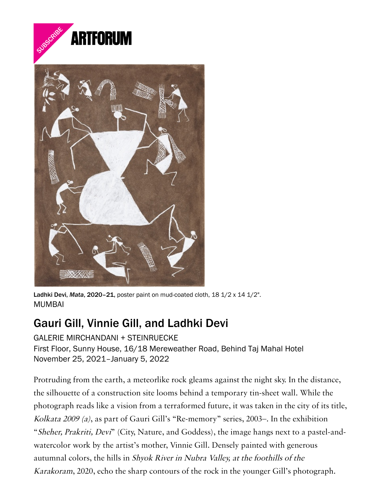



Ladhki Devi, Mata, 2020-21, poster paint on mud-coated cloth,  $18\frac{1}{2} \times 14\frac{1}{2}$ ". MUMBAI

## Gauri Gill, Vinnie Gill, and Ladhki Devi

GALERIE MIRCHANDANI + STEINRUECKE First Floor, Sunny House, 16/18 Mereweather Road, Behind Taj Mahal Hotel November 25, 2021–January 5, 2022

Protruding from the earth, a meteorlike rock gleams against the night sky. In the distance, the silhouette of a construction site looms behind a temporary tin-sheet wall. While the photograph reads like a vision from a terraformed future, it was taken in the city of its title, Kolkata 2009 (a), as part of Gauri Gill's "Re-memory" series, 2003–. In the exhibition "Sheher, Prakriti, Devi" (City, Nature, and Goddess), the image hangs next to a pastel-andwatercolor work by the artist's mother, Vinnie Gill. Densely painted with generous autumnal colors, the hills in Shyok River in Nubra Valley, at the foothills of the Karakoram, 2020, echo the sharp contours of the rock in the younger Gill's photograph.